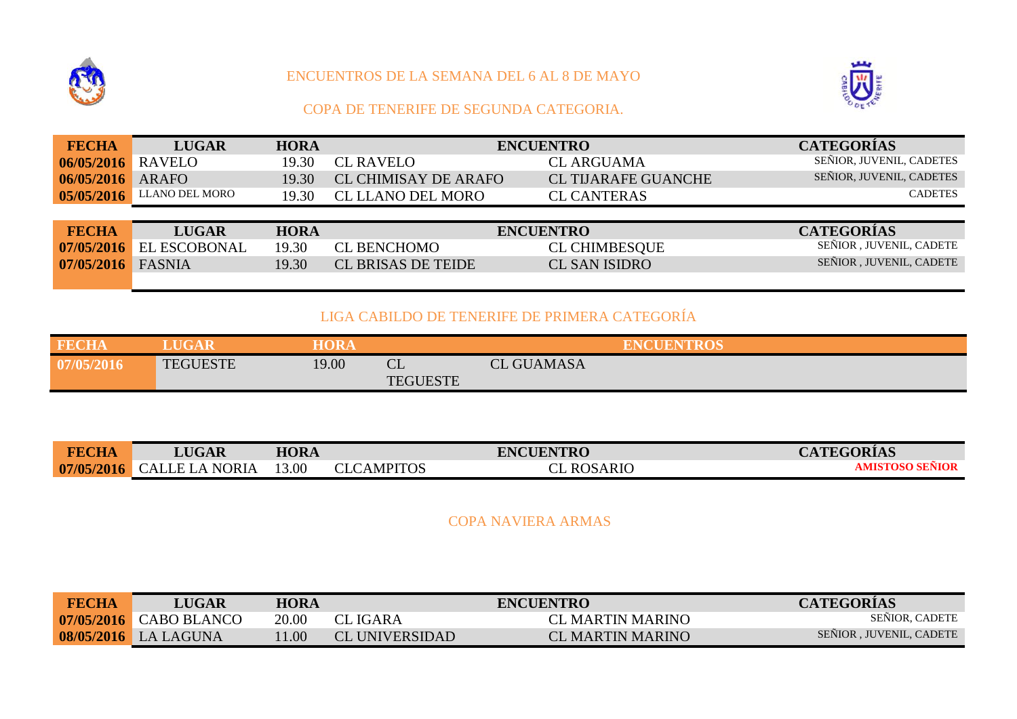

## ENCUENTROS DE LA SEMANA DEL 6 AL 8 DE MAYO



## COPA DE TENERIFE DE SEGUNDA CATEGORIA.

| <b>FECHA</b> | <b>LUGAR</b>        | <b>HORA</b> |                             | <b>ENCUENTRO</b>           | <b>CATEGORÍAS</b>        |
|--------------|---------------------|-------------|-----------------------------|----------------------------|--------------------------|
| 06/05/2016   | <b>RAVELO</b>       | 19.30       | <b>CL RAVELO</b>            | <b>CL ARGUAMA</b>          | SENIOR, JUVENIL, CADETES |
| 06/05/2016   | <b>ARAFO</b>        | 19.30       | <b>CL CHIMISAY DE ARAFO</b> | <b>CL TIJARAFE GUANCHE</b> | SEÑIOR, JUVENIL, CADETES |
| 05/05/2016   | LLANO DEL MORO      | 19.30       | <b>CL LLANO DEL MORO</b>    | <b>CL CANTERAS</b>         | <b>CADETES</b>           |
|              |                     |             |                             |                            |                          |
| <b>FECHA</b> | <b>LUGAR</b>        | <b>HORA</b> |                             | <b>ENCUENTRO</b>           | <b>CATEGORÍAS</b>        |
| 07/05/2016   | <b>EL ESCOBONAL</b> | 19.30       | <b>CL BENCHOMO</b>          | <b>CL CHIMBESQUE</b>       | SENIOR, JUVENIL, CADETE  |
| 07/05/2016   | <b>FASNIA</b>       | 19.30       | <b>CL BRISAS DE TEIDE</b>   | <b>CL SAN ISIDRO</b>       | SEÑIOR, JUVENIL, CADETE  |
|              |                     |             |                             |                            |                          |

## LIGA CABILDO DE TENERIFE DE PRIMERA CATEGORÍA

| <b>FECHA</b> | <b>LUGAR</b>    | <b>HORA</b> |                                       |                   | <b>ENCUENTROS</b> |
|--------------|-----------------|-------------|---------------------------------------|-------------------|-------------------|
| 07/05/2016   | <b>TEGUESTE</b> | 19.00       | $\mathbf{r}$<br>ᇰப<br><b>TEGUESTE</b> | <b>CL GUAMASA</b> |                   |

| <b>FECHA</b> | <b>LUGAR</b>                    | <b>HORA</b> |                   | <b>ENCUENTRO</b>  | <b>CATEGORÍAS</b> |
|--------------|---------------------------------|-------------|-------------------|-------------------|-------------------|
|              | 07/05/2016 CALLE LA NORIA 13.00 |             | <b>CLCAMPITOS</b> | <b>CL ROSARIO</b> | AMISTOSO SEÑIOR   |

COPA NAVIERA ARMAS

| <b>FECHA</b> | <b>LUGAR</b>           | <b>HORA</b> |                       | <b>ENCUENTRO</b>        | <b>CATEGORIAS</b>        |
|--------------|------------------------|-------------|-----------------------|-------------------------|--------------------------|
|              | 07/05/2016 CABO BLANCO | 20.00       | CL IGARA              | CL MARTIN MARINO        | <b>SENIOR, CADETE</b>    |
|              | 08/05/2016 LA LAGUNA   | 1.00        | <b>CL UNIVERSIDAD</b> | <b>CL MARTIN MARINO</b> | SENIOR . JUVENIL. CADETE |